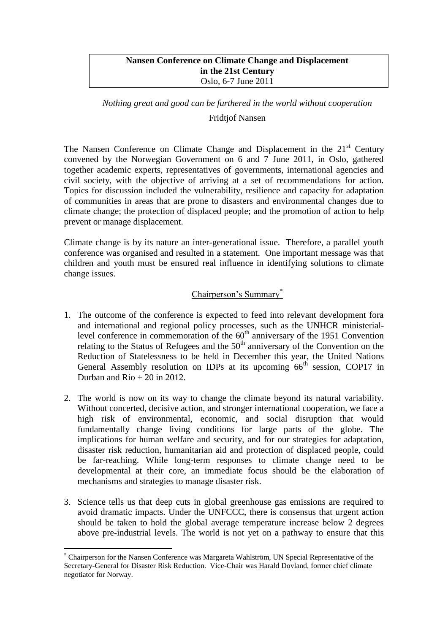### **Nansen Conference on Climate Change and Displacement in the 21st Century** Oslo, 6-7 June 2011

# *Nothing great and good can be furthered in the world without cooperation* Fridtjof Nansen

The Nansen Conference on Climate Change and Displacement in the  $21<sup>st</sup>$  Century convened by the Norwegian Government on 6 and 7 June 2011, in Oslo, gathered together academic experts, representatives of governments, international agencies and civil society, with the objective of arriving at a set of recommendations for action. Topics for discussion included the vulnerability, resilience and capacity for adaptation of communities in areas that are prone to disasters and environmental changes due to climate change; the protection of displaced people; and the promotion of action to help prevent or manage displacement.

Climate change is by its nature an inter-generational issue. Therefore, a parallel youth conference was organised and resulted in a statement. One important message was that children and youth must be ensured real influence in identifying solutions to climate change issues.

## Chairperson's Summary\*

- 1. The outcome of the conference is expected to feed into relevant development fora and international and regional policy processes, such as the UNHCR ministeriallevel conference in commemoration of the  $60<sup>th</sup>$  anniversary of the 1951 Convention relating to the Status of Refugees and the  $50<sup>th</sup>$  anniversary of the Convention on the Reduction of Statelessness to be held in December this year, the United Nations General Assembly resolution on IDPs at its upcoming  $66<sup>th</sup>$  session, COP17 in Durban and  $R$ io + 20 in 2012.
- 2. The world is now on its way to change the climate beyond its natural variability. Without concerted, decisive action, and stronger international cooperation, we face a high risk of environmental, economic, and social disruption that would fundamentally change living conditions for large parts of the globe. The implications for human welfare and security, and for our strategies for adaptation, disaster risk reduction, humanitarian aid and protection of displaced people, could be far-reaching. While long-term responses to climate change need to be developmental at their core, an immediate focus should be the elaboration of mechanisms and strategies to manage disaster risk.
- 3. Science tells us that deep cuts in global greenhouse gas emissions are required to avoid dramatic impacts. Under the UNFCCC, there is consensus that urgent action should be taken to hold the global average temperature increase below 2 degrees above pre-industrial levels. The world is not yet on a pathway to ensure that this

1

<sup>\*</sup> Chairperson for the Nansen Conference was Margareta Wahlström, UN Special Representative of the Secretary-General for Disaster Risk Reduction. Vice-Chair was Harald Dovland, former chief climate negotiator for Norway.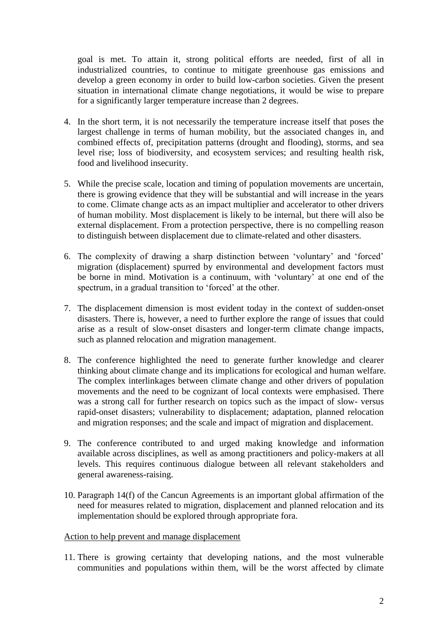goal is met. To attain it, strong political efforts are needed, first of all in industrialized countries, to continue to mitigate greenhouse gas emissions and develop a green economy in order to build low-carbon societies. Given the present situation in international climate change negotiations, it would be wise to prepare for a significantly larger temperature increase than 2 degrees.

- 4. In the short term, it is not necessarily the temperature increase itself that poses the largest challenge in terms of human mobility, but the associated changes in, and combined effects of, precipitation patterns (drought and flooding), storms, and sea level rise; loss of biodiversity, and ecosystem services; and resulting health risk, food and livelihood insecurity.
- 5. While the precise scale, location and timing of population movements are uncertain, there is growing evidence that they will be substantial and will increase in the years to come. Climate change acts as an impact multiplier and accelerator to other drivers of human mobility. Most displacement is likely to be internal, but there will also be external displacement. From a protection perspective, there is no compelling reason to distinguish between displacement due to climate-related and other disasters.
- 6. The complexity of drawing a sharp distinction between 'voluntary' and 'forced' migration (displacement) spurred by environmental and development factors must be borne in mind. Motivation is a continuum, with 'voluntary' at one end of the spectrum, in a gradual transition to 'forced' at the other.
- 7. The displacement dimension is most evident today in the context of sudden-onset disasters. There is, however, a need to further explore the range of issues that could arise as a result of slow-onset disasters and longer-term climate change impacts, such as planned relocation and migration management.
- 8. The conference highlighted the need to generate further knowledge and clearer thinking about climate change and its implications for ecological and human welfare. The complex interlinkages between climate change and other drivers of population movements and the need to be cognizant of local contexts were emphasised. There was a strong call for further research on topics such as the impact of slow- versus rapid-onset disasters; vulnerability to displacement; adaptation, planned relocation and migration responses; and the scale and impact of migration and displacement.
- 9. The conference contributed to and urged making knowledge and information available across disciplines, as well as among practitioners and policy-makers at all levels. This requires continuous dialogue between all relevant stakeholders and general awareness-raising.
- 10. Paragraph 14(f) of the Cancun Agreements is an important global affirmation of the need for measures related to migration, displacement and planned relocation and its implementation should be explored through appropriate fora.

### Action to help prevent and manage displacement

11. There is growing certainty that developing nations, and the most vulnerable communities and populations within them, will be the worst affected by climate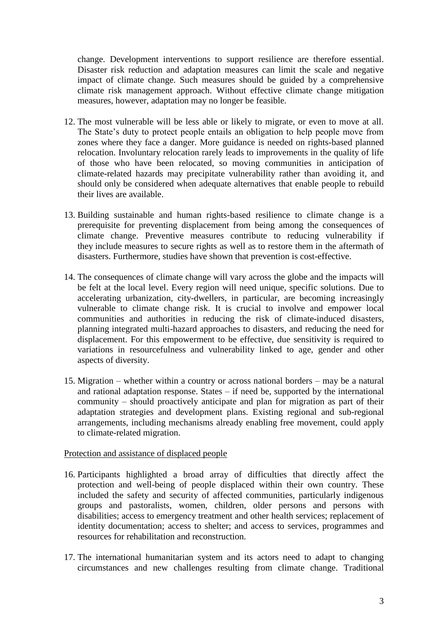change. Development interventions to support resilience are therefore essential. Disaster risk reduction and adaptation measures can limit the scale and negative impact of climate change. Such measures should be guided by a comprehensive climate risk management approach. Without effective climate change mitigation measures, however, adaptation may no longer be feasible.

- 12. The most vulnerable will be less able or likely to migrate, or even to move at all. The State's duty to protect people entails an obligation to help people move from zones where they face a danger. More guidance is needed on rights-based planned relocation. Involuntary relocation rarely leads to improvements in the quality of life of those who have been relocated, so moving communities in anticipation of climate-related hazards may precipitate vulnerability rather than avoiding it, and should only be considered when adequate alternatives that enable people to rebuild their lives are available.
- 13. Building sustainable and human rights-based resilience to climate change is a prerequisite for preventing displacement from being among the consequences of climate change. Preventive measures contribute to reducing vulnerability if they include measures to secure rights as well as to restore them in the aftermath of disasters. Furthermore, studies have shown that prevention is cost-effective.
- 14. The consequences of climate change will vary across the globe and the impacts will be felt at the local level. Every region will need unique, specific solutions. Due to accelerating urbanization, city-dwellers, in particular, are becoming increasingly vulnerable to climate change risk. It is crucial to involve and empower local communities and authorities in reducing the risk of climate-induced disasters, planning integrated multi-hazard approaches to disasters, and reducing the need for displacement. For this empowerment to be effective, due sensitivity is required to variations in resourcefulness and vulnerability linked to age, gender and other aspects of diversity.
- 15. Migration whether within a country or across national borders may be a natural and rational adaptation response. States – if need be, supported by the international community – should proactively anticipate and plan for migration as part of their adaptation strategies and development plans. Existing regional and sub-regional arrangements, including mechanisms already enabling free movement, could apply to climate-related migration.

### Protection and assistance of displaced people

- 16. Participants highlighted a broad array of difficulties that directly affect the protection and well-being of people displaced within their own country. These included the safety and security of affected communities, particularly indigenous groups and pastoralists, women, children, older persons and persons with disabilities; access to emergency treatment and other health services; replacement of identity documentation; access to shelter; and access to services, programmes and resources for rehabilitation and reconstruction.
- 17. The international humanitarian system and its actors need to adapt to changing circumstances and new challenges resulting from climate change. Traditional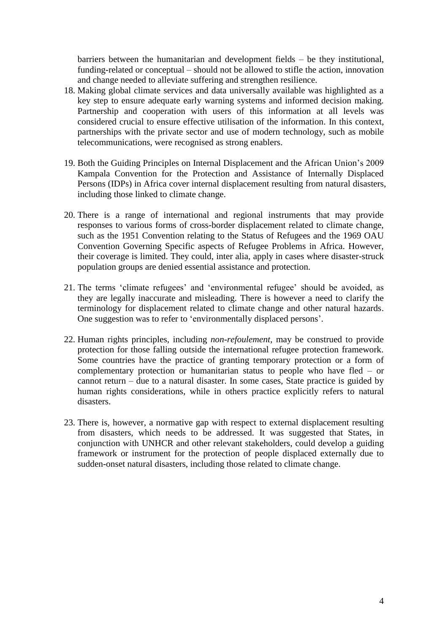barriers between the humanitarian and development fields – be they institutional, funding-related or conceptual – should not be allowed to stifle the action, innovation and change needed to alleviate suffering and strengthen resilience.

- 18. Making global climate services and data universally available was highlighted as a key step to ensure adequate early warning systems and informed decision making. Partnership and cooperation with users of this information at all levels was considered crucial to ensure effective utilisation of the information. In this context, partnerships with the private sector and use of modern technology, such as mobile telecommunications, were recognised as strong enablers.
- 19. Both the Guiding Principles on Internal Displacement and the African Union's 2009 Kampala Convention for the Protection and Assistance of Internally Displaced Persons (IDPs) in Africa cover internal displacement resulting from natural disasters, including those linked to climate change.
- 20. There is a range of international and regional instruments that may provide responses to various forms of cross-border displacement related to climate change, such as the 1951 Convention relating to the Status of Refugees and the 1969 OAU Convention Governing Specific aspects of Refugee Problems in Africa. However, their coverage is limited. They could, inter alia, apply in cases where disaster-struck population groups are denied essential assistance and protection.
- 21. The terms 'climate refugees' and 'environmental refugee' should be avoided, as they are legally inaccurate and misleading. There is however a need to clarify the terminology for displacement related to climate change and other natural hazards. One suggestion was to refer to 'environmentally displaced persons'.
- 22. Human rights principles, including *non-refoulement*, may be construed to provide protection for those falling outside the international refugee protection framework. Some countries have the practice of granting temporary protection or a form of complementary protection or humanitarian status to people who have fled – or cannot return – due to a natural disaster. In some cases, State practice is guided by human rights considerations, while in others practice explicitly refers to natural disasters.
- 23. There is, however, a normative gap with respect to external displacement resulting from disasters, which needs to be addressed. It was suggested that States, in conjunction with UNHCR and other relevant stakeholders, could develop a guiding framework or instrument for the protection of people displaced externally due to sudden-onset natural disasters, including those related to climate change.